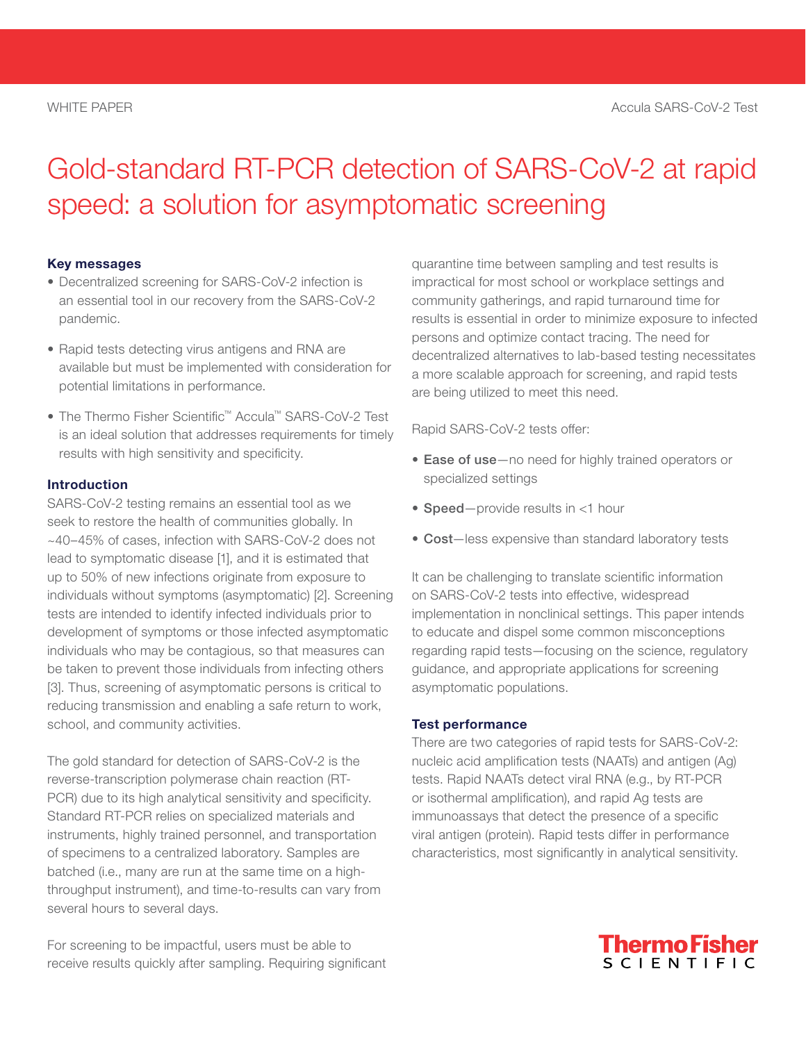# Gold-standard RT-PCR detection of SARS-CoV-2 at rapid speed: a solution for asymptomatic screening

#### Key messages

- Decentralized screening for SARS-CoV-2 infection is an essential tool in our recovery from the SARS-CoV-2 pandemic.
- Rapid tests detecting virus antigens and RNA are available but must be implemented with consideration for potential limitations in performance.
- The Thermo Fisher Scientific™ Accula™ SARS-CoV-2 Test is an ideal solution that addresses requirements for timely results with high sensitivity and specificity.

### Introduction

SARS-CoV-2 testing remains an essential tool as we seek to restore the health of communities globally. In ~40–45% of cases, infection with SARS-CoV-2 does not lead to symptomatic disease [1], and it is estimated that up to 50% of new infections originate from exposure to individuals without symptoms (asymptomatic) [2]. Screening tests are intended to identify infected individuals prior to development of symptoms or those infected asymptomatic individuals who may be contagious, so that measures can be taken to prevent those individuals from infecting others [3]. Thus, screening of asymptomatic persons is critical to reducing transmission and enabling a safe return to work, school, and community activities.

The gold standard for detection of SARS-CoV-2 is the reverse-transcription polymerase chain reaction (RT-PCR) due to its high analytical sensitivity and specificity. Standard RT-PCR relies on specialized materials and instruments, highly trained personnel, and transportation of specimens to a centralized laboratory. Samples are batched (i.e., many are run at the same time on a highthroughput instrument), and time-to-results can vary from several hours to several days.

For screening to be impactful, users must be able to receive results quickly after sampling. Requiring significant quarantine time between sampling and test results is impractical for most school or workplace settings and community gatherings, and rapid turnaround time for results is essential in order to minimize exposure to infected persons and optimize contact tracing. The need for decentralized alternatives to lab-based testing necessitates a more scalable approach for screening, and rapid tests are being utilized to meet this need.

Rapid SARS-CoV-2 tests offer:

- Ease of use-no need for highly trained operators or specialized settings
- Speed-provide results in <1 hour
- Cost-less expensive than standard laboratory tests

It can be challenging to translate scientific information on SARS-CoV-2 tests into effective, widespread implementation in nonclinical settings. This paper intends to educate and dispel some common misconceptions regarding rapid tests—focusing on the science, regulatory guidance, and appropriate applications for screening asymptomatic populations.

#### Test performance

There are two categories of rapid tests for SARS-CoV-2: nucleic acid amplification tests (NAATs) and antigen (Ag) tests. Rapid NAATs detect viral RNA (e.g., by RT-PCR or isothermal amplification), and rapid Ag tests are immunoassays that detect the presence of a specific viral antigen (protein). Rapid tests differ in performance characteristics, most significantly in analytical sensitivity.

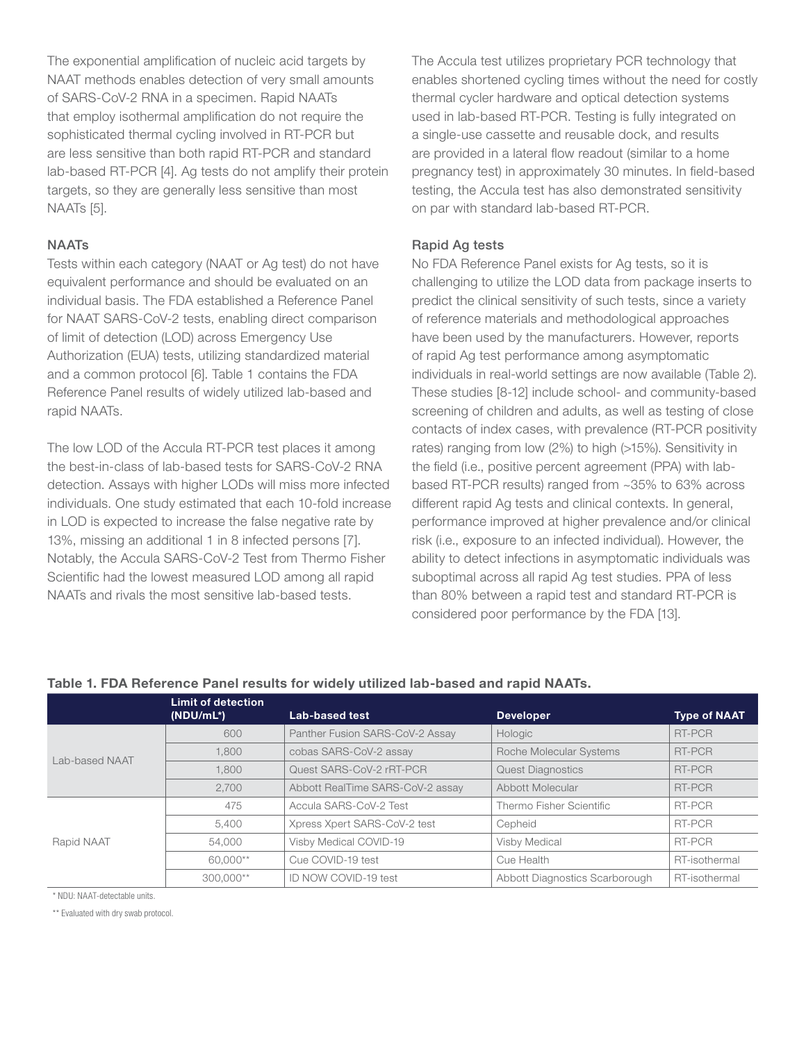The exponential amplification of nucleic acid targets by NAAT methods enables detection of very small amounts of SARS-CoV-2 RNA in a specimen. Rapid NAATs that employ isothermal amplification do not require the sophisticated thermal cycling involved in RT-PCR but are less sensitive than both rapid RT-PCR and standard lab-based RT-PCR [4]. Ag tests do not amplify their protein targets, so they are generally less sensitive than most NAATs [5].

## **NAATs**

Tests within each category (NAAT or Ag test) do not have equivalent performance and should be evaluated on an individual basis. The FDA established a Reference Panel for NAAT SARS-CoV-2 tests, enabling direct comparison of limit of detection (LOD) across Emergency Use Authorization (EUA) tests, utilizing standardized material and a common protocol [6]. Table 1 contains the FDA Reference Panel results of widely utilized lab-based and rapid NAATs.

The low LOD of the Accula RT-PCR test places it among the best-in-class of lab-based tests for SARS-CoV-2 RNA detection. Assays with higher LODs will miss more infected individuals. One study estimated that each 10-fold increase in LOD is expected to increase the false negative rate by 13%, missing an additional 1 in 8 infected persons [7]. Notably, the Accula SARS-CoV-2 Test from Thermo Fisher Scientific had the lowest measured LOD among all rapid NAATs and rivals the most sensitive lab-based tests.

The Accula test utilizes proprietary PCR technology that enables shortened cycling times without the need for costly thermal cycler hardware and optical detection systems used in lab-based RT-PCR. Testing is fully integrated on a single-use cassette and reusable dock, and results are provided in a lateral flow readout (similar to a home pregnancy test) in approximately 30 minutes. In field-based testing, the Accula test has also demonstrated sensitivity on par with standard lab-based RT-PCR.

# Rapid Ag tests

No FDA Reference Panel exists for Ag tests, so it is challenging to utilize the LOD data from package inserts to predict the clinical sensitivity of such tests, since a variety of reference materials and methodological approaches have been used by the manufacturers. However, reports of rapid Ag test performance among asymptomatic individuals in real-world settings are now available (Table 2). These studies [8-12] include school- and community-based screening of children and adults, as well as testing of close contacts of index cases, with prevalence (RT-PCR positivity rates) ranging from low (2%) to high (>15%). Sensitivity in the field (i.e., positive percent agreement (PPA) with labbased RT-PCR results) ranged from ~35% to 63% across different rapid Ag tests and clinical contexts. In general, performance improved at higher prevalence and/or clinical risk (i.e., exposure to an infected individual). However, the ability to detect infections in asymptomatic individuals was suboptimal across all rapid Ag test studies. PPA of less than 80% between a rapid test and standard RT-PCR is considered poor performance by the FDA [13].

|                |                                           | Table T. FDA Reference Panel results for widely utilized lab-based and rapid NAATS. |                                |                     |  |
|----------------|-------------------------------------------|-------------------------------------------------------------------------------------|--------------------------------|---------------------|--|
|                | <b>Limit of detection</b><br>$(NDU/mL^*)$ | Lab-based test                                                                      | <b>Developer</b>               | <b>Type of NAAT</b> |  |
| Lab-based NAAT | 600                                       | Panther Fusion SARS-CoV-2 Assay                                                     | Hologic                        | RT-PCR              |  |
|                | 1.800                                     | cobas SARS-CoV-2 assay                                                              | Roche Molecular Systems        | RT-PCR              |  |
|                | 1.800                                     | Quest SARS-CoV-2 rRT-PCR                                                            | <b>Quest Diagnostics</b>       | RT-PCR              |  |
|                | 2.700                                     | Abbott RealTime SARS-CoV-2 assay                                                    | Abbott Molecular               | RT-PCR              |  |
|                | 475                                       | Accula SARS-CoV-2 Test                                                              | Thermo Fisher Scientific       | RT-PCR              |  |
|                | 5.400                                     | Xpress Xpert SARS-CoV-2 test                                                        | Cepheid                        | RT-PCR              |  |
| Rapid NAAT     | 54.000                                    | Visby Medical COVID-19                                                              | Visby Medical                  | RT-PCR              |  |
|                | 60.000**                                  | Cue COVID-19 test                                                                   | Cue Health                     | RT-isothermal       |  |
|                | 300,000**                                 | ID NOW COVID-19 test                                                                | Abbott Diagnostics Scarborough | RT-isothermal       |  |

# Table 1. FDA Reference Panel results for widely utilized lab-based and rapid NAATs.

\* NDU: NAAT-detectable units.

\*\* Evaluated with dry swab protocol.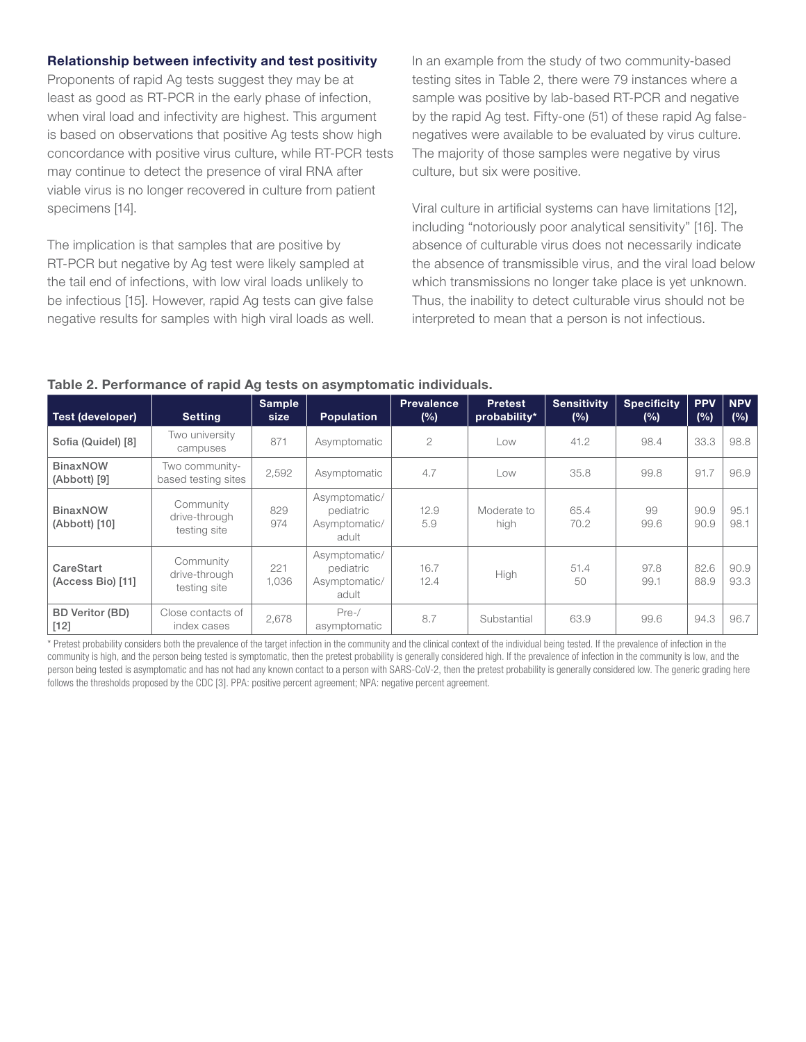#### Relationship between infectivity and test positivity

Proponents of rapid Ag tests suggest they may be at least as good as RT-PCR in the early phase of infection, when viral load and infectivity are highest. This argument is based on observations that positive Ag tests show high concordance with positive virus culture, while RT-PCR tests may continue to detect the presence of viral RNA after viable virus is no longer recovered in culture from patient specimens [14].

The implication is that samples that are positive by RT-PCR but negative by Ag test were likely sampled at the tail end of infections, with low viral loads unlikely to be infectious [15]. However, rapid Ag tests can give false negative results for samples with high viral loads as well. In an example from the study of two community-based testing sites in Table 2, there were 79 instances where a sample was positive by lab-based RT-PCR and negative by the rapid Ag test. Fifty-one (51) of these rapid Ag falsenegatives were available to be evaluated by virus culture. The majority of those samples were negative by virus culture, but six were positive.

Viral culture in artificial systems can have limitations [12], including "notoriously poor analytical sensitivity" [16]. The absence of culturable virus does not necessarily indicate the absence of transmissible virus, and the viral load below which transmissions no longer take place is yet unknown. Thus, the inability to detect culturable virus should not be interpreted to mean that a person is not infectious.

#### Table 2. Performance of rapid Ag tests on asymptomatic individuals.

| Test (developer)                 | <b>Setting</b>                             | <b>Sample</b><br>size | <b>Population</b>                                    | <b>Prevalence</b><br>(%) | <b>Pretest</b><br>probability* | <b>Sensitivity</b><br>(%) | <b>Specificity</b><br>(%) | <b>PPV</b><br>(%) | <b>NPV</b><br>$(\%)$ |
|----------------------------------|--------------------------------------------|-----------------------|------------------------------------------------------|--------------------------|--------------------------------|---------------------------|---------------------------|-------------------|----------------------|
| Sofia (Quidel) [8]               | Two university<br>campuses                 | 871                   | Asymptomatic                                         | $\overline{2}$           | Low                            | 41.2                      | 98.4                      | 33.3              | 98.8                 |
| <b>BinaxNOW</b><br>(Abbott) [9]  | Two community-<br>based testing sites      | 2,592                 | Asymptomatic                                         | 4.7                      | Low                            | 35.8                      | 99.8                      | 91.7              | 96.9                 |
| <b>BinaxNOW</b><br>(Abbott) [10] | Community<br>drive-through<br>testing site | 829<br>974            | Asymptomatic/<br>pediatric<br>Asymptomatic/<br>adult | 12.9<br>5.9              | Moderate to<br>high            | 65.4<br>70.2              | 99<br>99.6                | 90.9<br>90.9      | 95.1<br>98.1         |
| CareStart<br>(Access Bio) [11]   | Community<br>drive-through<br>testing site | 221<br>1,036          | Asymptomatic/<br>pediatric<br>Asymptomatic/<br>adult | 16.7<br>12.4             | High                           | 51.4<br>50                | 97.8<br>99.1              | 82.6<br>88.9      | 90.9<br>93.3         |
| <b>BD Veritor (BD)</b><br>$[12]$ | Close contacts of<br>index cases           | 2,678                 | $Pre-$ /<br>asymptomatic                             | 8.7                      | Substantial                    | 63.9                      | 99.6                      | 94.3              | 96.7                 |

\* Pretest probability considers both the prevalence of the target infection in the community and the clinical context of the individual being tested. If the prevalence of infection in the community is high, and the person being tested is symptomatic, then the pretest probability is generally considered high. If the prevalence of infection in the community is low, and the person being tested is asymptomatic and has not had any known contact to a person with SARS-CoV-2, then the pretest probability is generally considered low. The generic grading here follows the thresholds proposed by the CDC [3]. PPA: positive percent agreement; NPA: negative percent agreement.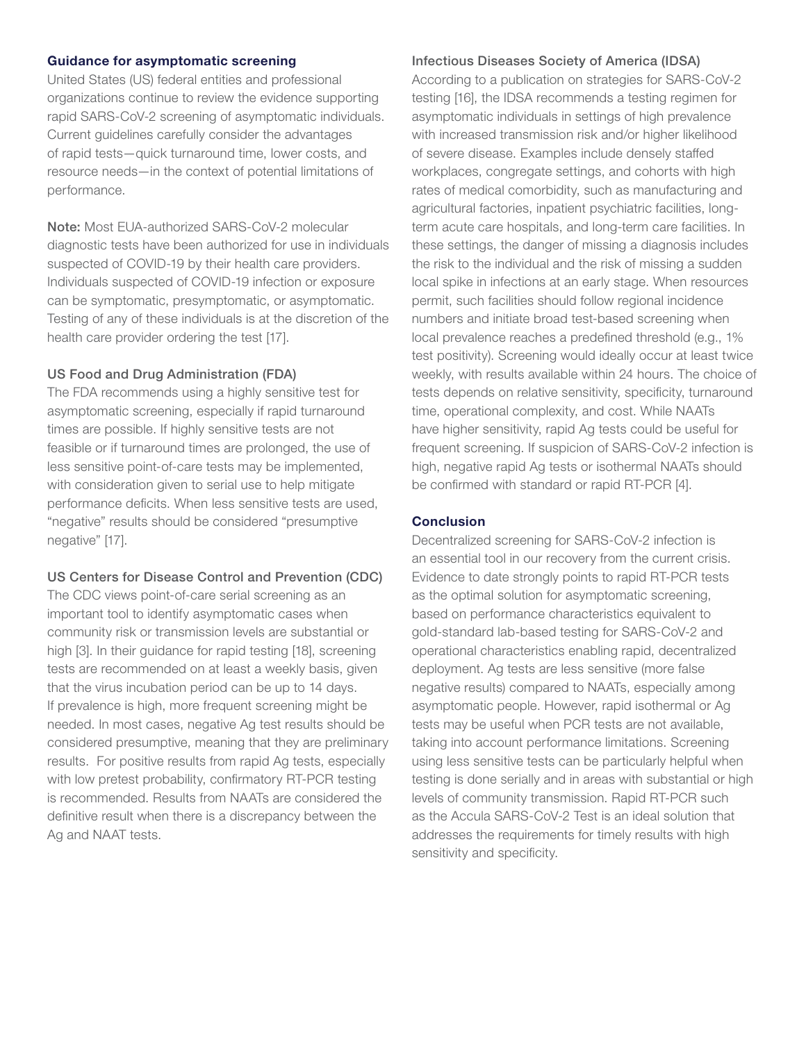#### Guidance for asymptomatic screening

United States (US) federal entities and professional organizations continue to review the evidence supporting rapid SARS-CoV-2 screening of asymptomatic individuals. Current guidelines carefully consider the advantages of rapid tests—quick turnaround time, lower costs, and resource needs—in the context of potential limitations of performance.

Note: Most EUA-authorized SARS-CoV-2 molecular diagnostic tests have been authorized for use in individuals suspected of COVID-19 by their health care providers. Individuals suspected of COVID-19 infection or exposure can be symptomatic, presymptomatic, or asymptomatic. Testing of any of these individuals is at the discretion of the health care provider ordering the test [17].

#### US Food and Drug Administration (FDA)

The FDA recommends using a highly sensitive test for asymptomatic screening, especially if rapid turnaround times are possible. If highly sensitive tests are not feasible or if turnaround times are prolonged, the use of less sensitive point-of-care tests may be implemented, with consideration given to serial use to help mitigate performance deficits. When less sensitive tests are used, "negative" results should be considered "presumptive negative" [17].

#### US Centers for Disease Control and Prevention (CDC)

The CDC views point-of-care serial screening as an important tool to identify asymptomatic cases when community risk or transmission levels are substantial or high [3]. In their guidance for rapid testing [18], screening tests are recommended on at least a weekly basis, given that the virus incubation period can be up to 14 days. If prevalence is high, more frequent screening might be needed. In most cases, negative Ag test results should be considered presumptive, meaning that they are preliminary results. For positive results from rapid Ag tests, especially with low pretest probability, confirmatory RT-PCR testing is recommended. Results from NAATs are considered the definitive result when there is a discrepancy between the Ag and NAAT tests.

#### Infectious Diseases Society of America (IDSA)

According to a publication on strategies for SARS-CoV-2 testing [16], the IDSA recommends a testing regimen for asymptomatic individuals in settings of high prevalence with increased transmission risk and/or higher likelihood of severe disease. Examples include densely staffed workplaces, congregate settings, and cohorts with high rates of medical comorbidity, such as manufacturing and agricultural factories, inpatient psychiatric facilities, longterm acute care hospitals, and long-term care facilities. In these settings, the danger of missing a diagnosis includes the risk to the individual and the risk of missing a sudden local spike in infections at an early stage. When resources permit, such facilities should follow regional incidence numbers and initiate broad test-based screening when local prevalence reaches a predefined threshold (e.g., 1% test positivity). Screening would ideally occur at least twice weekly, with results available within 24 hours. The choice of tests depends on relative sensitivity, specificity, turnaround time, operational complexity, and cost. While NAATs have higher sensitivity, rapid Ag tests could be useful for frequent screening. If suspicion of SARS-CoV-2 infection is high, negative rapid Ag tests or isothermal NAATs should be confirmed with standard or rapid RT-PCR [4].

#### **Conclusion**

Decentralized screening for SARS-CoV-2 infection is an essential tool in our recovery from the current crisis. Evidence to date strongly points to rapid RT-PCR tests as the optimal solution for asymptomatic screening, based on performance characteristics equivalent to gold-standard lab-based testing for SARS-CoV-2 and operational characteristics enabling rapid, decentralized deployment. Ag tests are less sensitive (more false negative results) compared to NAATs, especially among asymptomatic people. However, rapid isothermal or Ag tests may be useful when PCR tests are not available, taking into account performance limitations. Screening using less sensitive tests can be particularly helpful when testing is done serially and in areas with substantial or high levels of community transmission. Rapid RT-PCR such as the Accula SARS-CoV-2 Test is an ideal solution that addresses the requirements for timely results with high sensitivity and specificity.